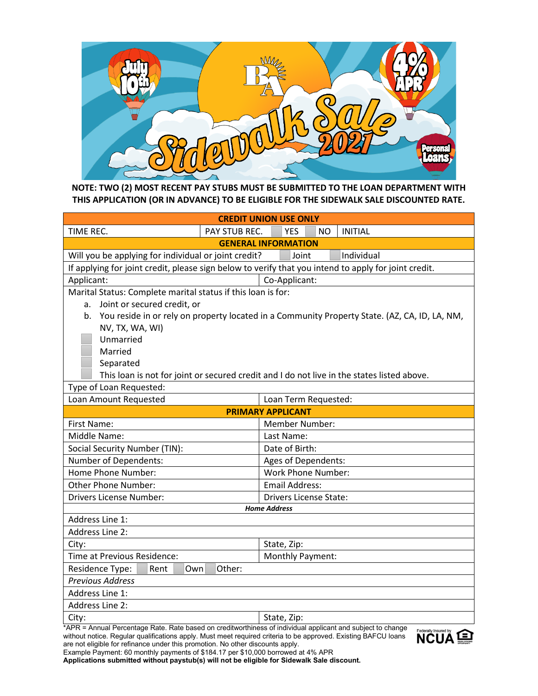

## **NOTE: TWO (2) MOST RECENT PAY STUBS MUST BE SUBMITTED TO THE LOAN DEPARTMENT WITH THIS APPLICATION (OR IN ADVANCE) TO BE ELIGIBLE FOR THE SIDEWALK SALE DISCOUNTED RATE.**

| <b>CREDIT UNION USE ONLY</b>                                                                                                        |                                                                                                  |  |  |  |  |  |  |
|-------------------------------------------------------------------------------------------------------------------------------------|--------------------------------------------------------------------------------------------------|--|--|--|--|--|--|
| TIME REC.<br><b>PAY STUB REC.</b>                                                                                                   | <b>INITIAL</b><br><b>YES</b><br>NO.                                                              |  |  |  |  |  |  |
| <b>GENERAL INFORMATION</b>                                                                                                          |                                                                                                  |  |  |  |  |  |  |
| Will you be applying for individual or joint credit?                                                                                | Individual<br>Joint                                                                              |  |  |  |  |  |  |
| If applying for joint credit, please sign below to verify that you intend to apply for joint credit.                                |                                                                                                  |  |  |  |  |  |  |
| Applicant:                                                                                                                          | Co-Applicant:                                                                                    |  |  |  |  |  |  |
| Marital Status: Complete marital status if this loan is for:                                                                        |                                                                                                  |  |  |  |  |  |  |
| Joint or secured credit, or<br>a.                                                                                                   |                                                                                                  |  |  |  |  |  |  |
|                                                                                                                                     | b. You reside in or rely on property located in a Community Property State. (AZ, CA, ID, LA, NM, |  |  |  |  |  |  |
| NV, TX, WA, WI)                                                                                                                     |                                                                                                  |  |  |  |  |  |  |
| Unmarried                                                                                                                           |                                                                                                  |  |  |  |  |  |  |
| Married                                                                                                                             |                                                                                                  |  |  |  |  |  |  |
| Separated                                                                                                                           |                                                                                                  |  |  |  |  |  |  |
|                                                                                                                                     | This loan is not for joint or secured credit and I do not live in the states listed above.       |  |  |  |  |  |  |
| Type of Loan Requested:                                                                                                             |                                                                                                  |  |  |  |  |  |  |
| Loan Amount Requested                                                                                                               | Loan Term Requested:                                                                             |  |  |  |  |  |  |
|                                                                                                                                     | <b>PRIMARY APPLICANT</b>                                                                         |  |  |  |  |  |  |
| <b>First Name:</b>                                                                                                                  | Member Number:                                                                                   |  |  |  |  |  |  |
| Middle Name:                                                                                                                        | Last Name:                                                                                       |  |  |  |  |  |  |
| Social Security Number (TIN):                                                                                                       | Date of Birth:                                                                                   |  |  |  |  |  |  |
| Number of Dependents:<br>Ages of Dependents:                                                                                        |                                                                                                  |  |  |  |  |  |  |
| Home Phone Number:                                                                                                                  | <b>Work Phone Number:</b>                                                                        |  |  |  |  |  |  |
| Other Phone Number:<br><b>Email Address:</b>                                                                                        |                                                                                                  |  |  |  |  |  |  |
| Drivers License Number:<br><b>Drivers License State:</b>                                                                            |                                                                                                  |  |  |  |  |  |  |
| <b>Home Address</b>                                                                                                                 |                                                                                                  |  |  |  |  |  |  |
| Address Line 1:                                                                                                                     |                                                                                                  |  |  |  |  |  |  |
| Address Line 2:                                                                                                                     |                                                                                                  |  |  |  |  |  |  |
| City:                                                                                                                               | State, Zip:                                                                                      |  |  |  |  |  |  |
| Time at Previous Residence:<br>Monthly Payment:                                                                                     |                                                                                                  |  |  |  |  |  |  |
| Residence Type:<br>Other:<br>Rent<br>Own                                                                                            |                                                                                                  |  |  |  |  |  |  |
| <b>Previous Address</b>                                                                                                             |                                                                                                  |  |  |  |  |  |  |
| Address Line 1:                                                                                                                     |                                                                                                  |  |  |  |  |  |  |
| Address Line 2:                                                                                                                     |                                                                                                  |  |  |  |  |  |  |
| State, Zip:<br>City:                                                                                                                |                                                                                                  |  |  |  |  |  |  |
| *APR = Annual Percentage Rate. Rate based on creditworthiness of individual applicant and subject to change<br>Federally Incured by |                                                                                                  |  |  |  |  |  |  |

without notice. Regular qualifications apply. Must meet required criteria to be approved. Existing BAFCU loans are not eligible for refinance under this promotion. No other discounts apply.



Example Payment: 60 monthly payments of \$184.17 per \$10,000 borrowed at 4% APR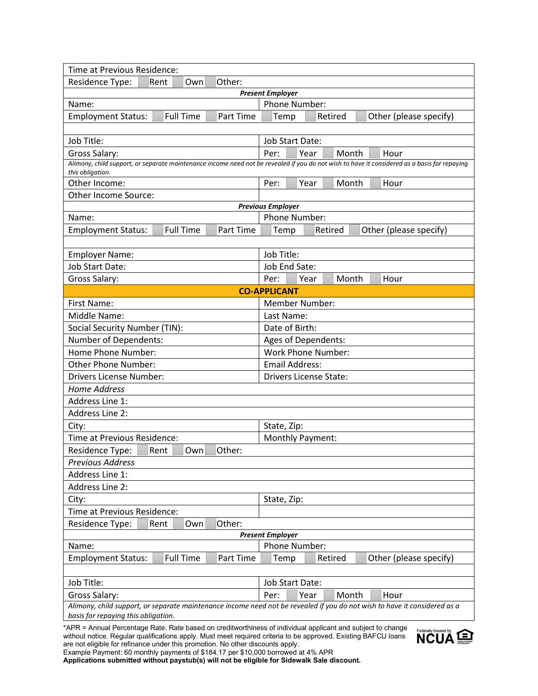| Time at Previous Residence:                                                                                               |                                                                                                                                              |  |  |  |  |
|---------------------------------------------------------------------------------------------------------------------------|----------------------------------------------------------------------------------------------------------------------------------------------|--|--|--|--|
| Residence Type:<br>Other:<br>Rent<br>Own                                                                                  |                                                                                                                                              |  |  |  |  |
|                                                                                                                           | <b>Present Employer</b>                                                                                                                      |  |  |  |  |
| Name:                                                                                                                     | Phone Number:                                                                                                                                |  |  |  |  |
| <b>Full Time</b><br><b>Employment Status:</b><br>Part Time                                                                | Temp<br>Retired<br>Other (please specify)                                                                                                    |  |  |  |  |
|                                                                                                                           |                                                                                                                                              |  |  |  |  |
| Job Title:                                                                                                                | Job Start Date:                                                                                                                              |  |  |  |  |
| Gross Salary:                                                                                                             | Per:<br>Year<br>Month<br>Hour                                                                                                                |  |  |  |  |
| this obligation.                                                                                                          | Alimony, child support, or separate maintenance income need not be revealed if you do not wish to have it considered as a basis for repaying |  |  |  |  |
| Other Income:                                                                                                             | Month<br>Per:<br>Year<br>Hour                                                                                                                |  |  |  |  |
| Other Income Source:                                                                                                      |                                                                                                                                              |  |  |  |  |
|                                                                                                                           | <b>Previous Employer</b>                                                                                                                     |  |  |  |  |
| Name:                                                                                                                     | Phone Number:                                                                                                                                |  |  |  |  |
| <b>Employment Status:</b><br><b>Full Time</b><br>Part Time                                                                | Other (please specify)<br>Temp<br>Retired                                                                                                    |  |  |  |  |
|                                                                                                                           |                                                                                                                                              |  |  |  |  |
| <b>Employer Name:</b>                                                                                                     | Job Title:                                                                                                                                   |  |  |  |  |
| Job Start Date:                                                                                                           | Job End Sate:                                                                                                                                |  |  |  |  |
| Gross Salary:                                                                                                             | Month<br>Per:<br>Year<br>Hour                                                                                                                |  |  |  |  |
|                                                                                                                           | <b>CO-APPLICANT</b>                                                                                                                          |  |  |  |  |
| First Name:                                                                                                               | <b>Member Number:</b>                                                                                                                        |  |  |  |  |
| Middle Name:                                                                                                              | Last Name:                                                                                                                                   |  |  |  |  |
| Social Security Number (TIN):                                                                                             | Date of Birth:                                                                                                                               |  |  |  |  |
| Number of Dependents:<br>Ages of Dependents:                                                                              |                                                                                                                                              |  |  |  |  |
| Home Phone Number:                                                                                                        | <b>Work Phone Number:</b>                                                                                                                    |  |  |  |  |
| <b>Other Phone Number:</b>                                                                                                | <b>Email Address:</b>                                                                                                                        |  |  |  |  |
| Drivers License Number:<br><b>Drivers License State:</b>                                                                  |                                                                                                                                              |  |  |  |  |
| <b>Home Address</b>                                                                                                       |                                                                                                                                              |  |  |  |  |
| Address Line 1:                                                                                                           |                                                                                                                                              |  |  |  |  |
| <b>Address Line 2:</b>                                                                                                    |                                                                                                                                              |  |  |  |  |
| City:<br>State, Zip:                                                                                                      |                                                                                                                                              |  |  |  |  |
| Time at Previous Residence:                                                                                               | Monthly Payment:                                                                                                                             |  |  |  |  |
| Rent<br>Other:<br>Residence Type:<br>Own                                                                                  |                                                                                                                                              |  |  |  |  |
| <b>Previous Address</b>                                                                                                   |                                                                                                                                              |  |  |  |  |
| Address Line 1:                                                                                                           |                                                                                                                                              |  |  |  |  |
| <b>Address Line 2:</b>                                                                                                    |                                                                                                                                              |  |  |  |  |
| State, Zip:<br>City:                                                                                                      |                                                                                                                                              |  |  |  |  |
| Time at Previous Residence:                                                                                               |                                                                                                                                              |  |  |  |  |
| Residence Type:<br>Other:<br>Rent<br>Own                                                                                  |                                                                                                                                              |  |  |  |  |
| <b>Present Employer</b>                                                                                                   |                                                                                                                                              |  |  |  |  |
| Name:                                                                                                                     | Phone Number:                                                                                                                                |  |  |  |  |
| <b>Full Time</b><br><b>Employment Status:</b><br>Part Time                                                                | Retired<br>Other (please specify)<br>Temp                                                                                                    |  |  |  |  |
| Job Title:                                                                                                                | <b>Job Start Date:</b>                                                                                                                       |  |  |  |  |
| Gross Salary:                                                                                                             | Per:<br>Month<br>Year<br>Hour                                                                                                                |  |  |  |  |
| Alimony, child support, or separate maintenance income need not be revealed if you do not wish to have it considered as a |                                                                                                                                              |  |  |  |  |
| basis for repaying this obligation.                                                                                       |                                                                                                                                              |  |  |  |  |

\*APR = Annual Percentage Rate. Rate based on creditworthiness of individual applicant and subject to change without notice. Regular qualifications apply. Must meet required criteria to be approved. Existing BAFCU loans are not eligible for refinance under this promotion. No other discounts apply.



Example Payment: 60 monthly payments of \$184.17 per \$10,000 borrowed at 4% APR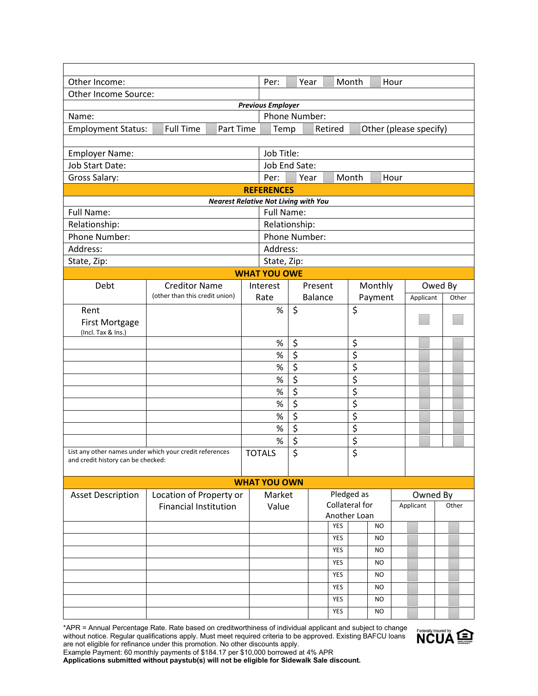| Other Income:                      |                                                         |                                             |                                                                                                                                    |                                 | Year             |            | Month                           |                        | Hour |           |         |       |
|------------------------------------|---------------------------------------------------------|---------------------------------------------|------------------------------------------------------------------------------------------------------------------------------------|---------------------------------|------------------|------------|---------------------------------|------------------------|------|-----------|---------|-------|
| Other Income Source:               |                                                         |                                             |                                                                                                                                    |                                 |                  |            |                                 |                        |      |           |         |       |
| <b>Previous Employer</b>           |                                                         |                                             |                                                                                                                                    |                                 |                  |            |                                 |                        |      |           |         |       |
| Name:                              |                                                         |                                             | Phone Number:                                                                                                                      |                                 |                  |            |                                 |                        |      |           |         |       |
| <b>Employment Status:</b>          | <b>Full Time</b>                                        | Part Time                                   | Temp                                                                                                                               |                                 | Retired          |            |                                 | Other (please specify) |      |           |         |       |
|                                    |                                                         |                                             |                                                                                                                                    |                                 |                  |            |                                 |                        |      |           |         |       |
| <b>Employer Name:</b>              |                                                         |                                             | Job Title:                                                                                                                         |                                 |                  |            |                                 |                        |      |           |         |       |
| Job Start Date:                    |                                                         |                                             | Job End Sate:                                                                                                                      |                                 |                  |            |                                 |                        |      |           |         |       |
| Gross Salary:                      |                                                         |                                             | Per:                                                                                                                               |                                 | Year             |            | Month                           |                        | Hour |           |         |       |
|                                    |                                                         | <b>Nearest Relative Not Living with You</b> | <b>REFERENCES</b>                                                                                                                  |                                 |                  |            |                                 |                        |      |           |         |       |
| <b>Full Name:</b>                  |                                                         |                                             | <b>Full Name:</b>                                                                                                                  |                                 |                  |            |                                 |                        |      |           |         |       |
| Relationship:                      |                                                         |                                             | Relationship:                                                                                                                      |                                 |                  |            |                                 |                        |      |           |         |       |
| Phone Number:                      |                                                         |                                             | Phone Number:                                                                                                                      |                                 |                  |            |                                 |                        |      |           |         |       |
| Address:                           |                                                         |                                             | Address:                                                                                                                           |                                 |                  |            |                                 |                        |      |           |         |       |
| State, Zip:                        |                                                         |                                             | State, Zip:                                                                                                                        |                                 |                  |            |                                 |                        |      |           |         |       |
|                                    |                                                         |                                             | <b>WHAT YOU OWE</b>                                                                                                                |                                 |                  |            |                                 |                        |      |           |         |       |
| Debt                               | <b>Creditor Name</b>                                    |                                             | Interest                                                                                                                           |                                 | Present          |            |                                 | Monthly                |      |           | Owed By |       |
|                                    | (other than this credit union)                          |                                             | Rate                                                                                                                               |                                 | <b>Balance</b>   |            |                                 | Payment                |      | Applicant |         | Other |
| Rent                               |                                                         |                                             | $\%$                                                                                                                               | $\zeta$                         |                  |            | \$                              |                        |      |           |         |       |
| <b>First Mortgage</b>              |                                                         |                                             |                                                                                                                                    |                                 |                  |            |                                 |                        |      |           |         |       |
| (Incl. Tax & Ins.)                 |                                                         |                                             |                                                                                                                                    |                                 |                  |            |                                 |                        |      |           |         |       |
|                                    |                                                         |                                             | $\%$                                                                                                                               | \$                              |                  |            | \$                              |                        |      |           |         |       |
|                                    |                                                         |                                             | $\%$                                                                                                                               | $\overline{\mathcal{L}}$        |                  |            | \$                              |                        |      |           |         |       |
|                                    |                                                         |                                             | $\%$                                                                                                                               | $\overline{\xi}$                |                  |            | $\overline{\boldsymbol{\zeta}}$ |                        |      |           |         |       |
|                                    |                                                         |                                             | $\%$                                                                                                                               | $\overline{\xi}$                |                  |            | $\overline{\xi}$                |                        |      |           |         |       |
|                                    |                                                         |                                             | $% \mathcal{B}_{\mathrm{H}}\left( \mathcal{B}_{\mathrm{H}}\right) =\mathcal{B}_{\mathrm{H}}\left( \mathcal{B}_{\mathrm{H}}\right)$ | $\overline{\xi}$                |                  |            | \$                              |                        |      |           |         |       |
|                                    |                                                         |                                             | $\%$                                                                                                                               | $\overline{\boldsymbol{\zeta}}$ |                  |            | \$                              |                        |      |           |         |       |
|                                    |                                                         |                                             | $\%$                                                                                                                               | $\overline{\xi}$                |                  |            | \$                              |                        |      |           |         |       |
|                                    |                                                         |                                             | $\%$                                                                                                                               | $\overline{\xi}$                |                  |            | $\overline{\xi}$                |                        |      |           |         |       |
|                                    |                                                         |                                             | $\%$                                                                                                                               | $\overline{\xi}$                |                  |            | \$                              |                        |      |           |         |       |
|                                    | List any other names under which your credit references |                                             | \$<br><b>TOTALS</b>                                                                                                                |                                 | $\overline{\xi}$ |            |                                 |                        |      |           |         |       |
| and credit history can be checked: |                                                         |                                             |                                                                                                                                    |                                 |                  |            |                                 |                        |      |           |         |       |
|                                    |                                                         |                                             | <b>WHAT YOU OWN</b>                                                                                                                |                                 |                  |            |                                 |                        |      |           |         |       |
| <b>Asset Description</b>           | Location of Property or                                 |                                             | Market                                                                                                                             |                                 |                  |            | Pledged as                      |                        |      | Owned By  |         |       |
|                                    | <b>Financial Institution</b>                            |                                             | Value                                                                                                                              |                                 | Collateral for   |            |                                 | Applicant              |      | Other     |         |       |
|                                    |                                                         |                                             |                                                                                                                                    |                                 | Another Loan     |            |                                 |                        |      |           |         |       |
|                                    |                                                         |                                             |                                                                                                                                    |                                 |                  | <b>YES</b> |                                 | NO.                    |      |           |         |       |
|                                    |                                                         |                                             |                                                                                                                                    |                                 |                  | <b>YES</b> |                                 | <b>NO</b>              |      |           |         |       |
|                                    |                                                         |                                             |                                                                                                                                    |                                 |                  | YES        |                                 | NO.                    |      |           |         |       |
|                                    |                                                         |                                             |                                                                                                                                    |                                 |                  | YES        |                                 | <b>NO</b>              |      |           |         |       |
|                                    |                                                         |                                             |                                                                                                                                    |                                 |                  | <b>YES</b> |                                 | <b>NO</b>              |      |           |         |       |
|                                    |                                                         |                                             |                                                                                                                                    |                                 |                  | YES        |                                 | NO.                    |      |           |         |       |
|                                    |                                                         |                                             |                                                                                                                                    |                                 |                  | YES        |                                 | <b>NO</b>              |      |           |         |       |
|                                    |                                                         |                                             |                                                                                                                                    |                                 |                  | <b>YES</b> |                                 | <b>NO</b>              |      |           |         |       |

\*APR = Annual Percentage Rate. Rate based on creditworthiness of individual applicant and subject to change without notice. Regular qualifications apply. Must meet required criteria to be approved. Existing BAFCU loans are not eligible for refinance under this promotion. No other discounts apply.



Example Payment: 60 monthly payments of \$184.17 per \$10,000 borrowed at 4% APR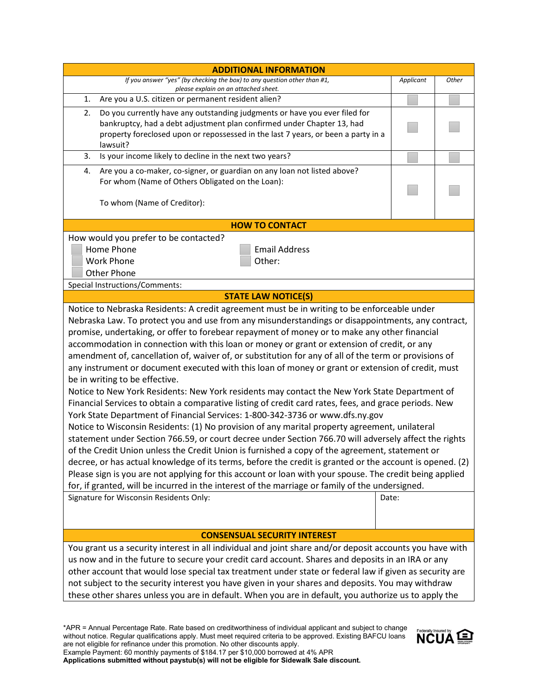| <b>ADDITIONAL INFORMATION</b>                                                                                                                                                                                                                                                                                                                                                                                                                                                                                                                                                                                                                                                                                                                                                                                                                                                                                                                                                                                                                                                                                                                                                                                                                                                                                                                                                                                                                                                                                                                                                                                                        |           |       |  |  |  |  |  |
|--------------------------------------------------------------------------------------------------------------------------------------------------------------------------------------------------------------------------------------------------------------------------------------------------------------------------------------------------------------------------------------------------------------------------------------------------------------------------------------------------------------------------------------------------------------------------------------------------------------------------------------------------------------------------------------------------------------------------------------------------------------------------------------------------------------------------------------------------------------------------------------------------------------------------------------------------------------------------------------------------------------------------------------------------------------------------------------------------------------------------------------------------------------------------------------------------------------------------------------------------------------------------------------------------------------------------------------------------------------------------------------------------------------------------------------------------------------------------------------------------------------------------------------------------------------------------------------------------------------------------------------|-----------|-------|--|--|--|--|--|
| If you answer "yes" (by checking the box) to any question other than #1,                                                                                                                                                                                                                                                                                                                                                                                                                                                                                                                                                                                                                                                                                                                                                                                                                                                                                                                                                                                                                                                                                                                                                                                                                                                                                                                                                                                                                                                                                                                                                             | Applicant | Other |  |  |  |  |  |
| please explain on an attached sheet.<br>Are you a U.S. citizen or permanent resident alien?<br>1.                                                                                                                                                                                                                                                                                                                                                                                                                                                                                                                                                                                                                                                                                                                                                                                                                                                                                                                                                                                                                                                                                                                                                                                                                                                                                                                                                                                                                                                                                                                                    |           |       |  |  |  |  |  |
| Do you currently have any outstanding judgments or have you ever filed for<br>2.<br>bankruptcy, had a debt adjustment plan confirmed under Chapter 13, had<br>property foreclosed upon or repossessed in the last 7 years, or been a party in a<br>lawsuit?                                                                                                                                                                                                                                                                                                                                                                                                                                                                                                                                                                                                                                                                                                                                                                                                                                                                                                                                                                                                                                                                                                                                                                                                                                                                                                                                                                          |           |       |  |  |  |  |  |
| Is your income likely to decline in the next two years?<br>3.                                                                                                                                                                                                                                                                                                                                                                                                                                                                                                                                                                                                                                                                                                                                                                                                                                                                                                                                                                                                                                                                                                                                                                                                                                                                                                                                                                                                                                                                                                                                                                        |           |       |  |  |  |  |  |
| Are you a co-maker, co-signer, or guardian on any loan not listed above?<br>4.                                                                                                                                                                                                                                                                                                                                                                                                                                                                                                                                                                                                                                                                                                                                                                                                                                                                                                                                                                                                                                                                                                                                                                                                                                                                                                                                                                                                                                                                                                                                                       |           |       |  |  |  |  |  |
| For whom (Name of Others Obligated on the Loan):                                                                                                                                                                                                                                                                                                                                                                                                                                                                                                                                                                                                                                                                                                                                                                                                                                                                                                                                                                                                                                                                                                                                                                                                                                                                                                                                                                                                                                                                                                                                                                                     |           |       |  |  |  |  |  |
| To whom (Name of Creditor):                                                                                                                                                                                                                                                                                                                                                                                                                                                                                                                                                                                                                                                                                                                                                                                                                                                                                                                                                                                                                                                                                                                                                                                                                                                                                                                                                                                                                                                                                                                                                                                                          |           |       |  |  |  |  |  |
| <b>HOW TO CONTACT</b>                                                                                                                                                                                                                                                                                                                                                                                                                                                                                                                                                                                                                                                                                                                                                                                                                                                                                                                                                                                                                                                                                                                                                                                                                                                                                                                                                                                                                                                                                                                                                                                                                |           |       |  |  |  |  |  |
| How would you prefer to be contacted?<br>Home Phone<br><b>Email Address</b><br><b>Work Phone</b><br>Other:<br><b>Other Phone</b>                                                                                                                                                                                                                                                                                                                                                                                                                                                                                                                                                                                                                                                                                                                                                                                                                                                                                                                                                                                                                                                                                                                                                                                                                                                                                                                                                                                                                                                                                                     |           |       |  |  |  |  |  |
| <b>Special Instructions/Comments:</b>                                                                                                                                                                                                                                                                                                                                                                                                                                                                                                                                                                                                                                                                                                                                                                                                                                                                                                                                                                                                                                                                                                                                                                                                                                                                                                                                                                                                                                                                                                                                                                                                |           |       |  |  |  |  |  |
| <b>STATE LAW NOTICE(S)</b>                                                                                                                                                                                                                                                                                                                                                                                                                                                                                                                                                                                                                                                                                                                                                                                                                                                                                                                                                                                                                                                                                                                                                                                                                                                                                                                                                                                                                                                                                                                                                                                                           |           |       |  |  |  |  |  |
| Notice to Nebraska Residents: A credit agreement must be in writing to be enforceable under<br>Nebraska Law. To protect you and use from any misunderstandings or disappointments, any contract,<br>promise, undertaking, or offer to forebear repayment of money or to make any other financial<br>accommodation in connection with this loan or money or grant or extension of credit, or any<br>amendment of, cancellation of, waiver of, or substitution for any of all of the term or provisions of<br>any instrument or document executed with this loan of money or grant or extension of credit, must<br>be in writing to be effective.<br>Notice to New York Residents: New York residents may contact the New York State Department of<br>Financial Services to obtain a comparative listing of credit card rates, fees, and grace periods. New<br>York State Department of Financial Services: 1-800-342-3736 or www.dfs.ny.gov<br>Notice to Wisconsin Residents: (1) No provision of any marital property agreement, unilateral<br>statement under Section 766.59, or court decree under Section 766.70 will adversely affect the rights<br>of the Credit Union unless the Credit Union is furnished a copy of the agreement, statement or<br>decree, or has actual knowledge of its terms, before the credit is granted or the account is opened. (2)<br>Please sign is you are not applying for this account or loan with your spouse. The credit being applied<br>for, if granted, will be incurred in the interest of the marriage or family of the undersigned.<br>Signature for Wisconsin Residents Only:<br>Date: |           |       |  |  |  |  |  |
| <b>CONSENSUAL SECURITY INTEREST</b>                                                                                                                                                                                                                                                                                                                                                                                                                                                                                                                                                                                                                                                                                                                                                                                                                                                                                                                                                                                                                                                                                                                                                                                                                                                                                                                                                                                                                                                                                                                                                                                                  |           |       |  |  |  |  |  |
| You grant us a security interest in all individual and joint share and/or deposit accounts you have with<br>us now and in the future to secure your credit card account. Shares and deposits in an IRA or any<br>other account that would lose special tax treatment under state or federal law if given as security are<br>not subject to the security interest you have given in your shares and deposits. You may withdraw<br>these other shares unless you are in default. When you are in default, you authorize us to apply the                                                                                                                                                                                                                                                                                                                                                                                                                                                                                                                                                                                                                                                                                                                                                                                                                                                                                                                                                                                                                                                                                                |           |       |  |  |  |  |  |